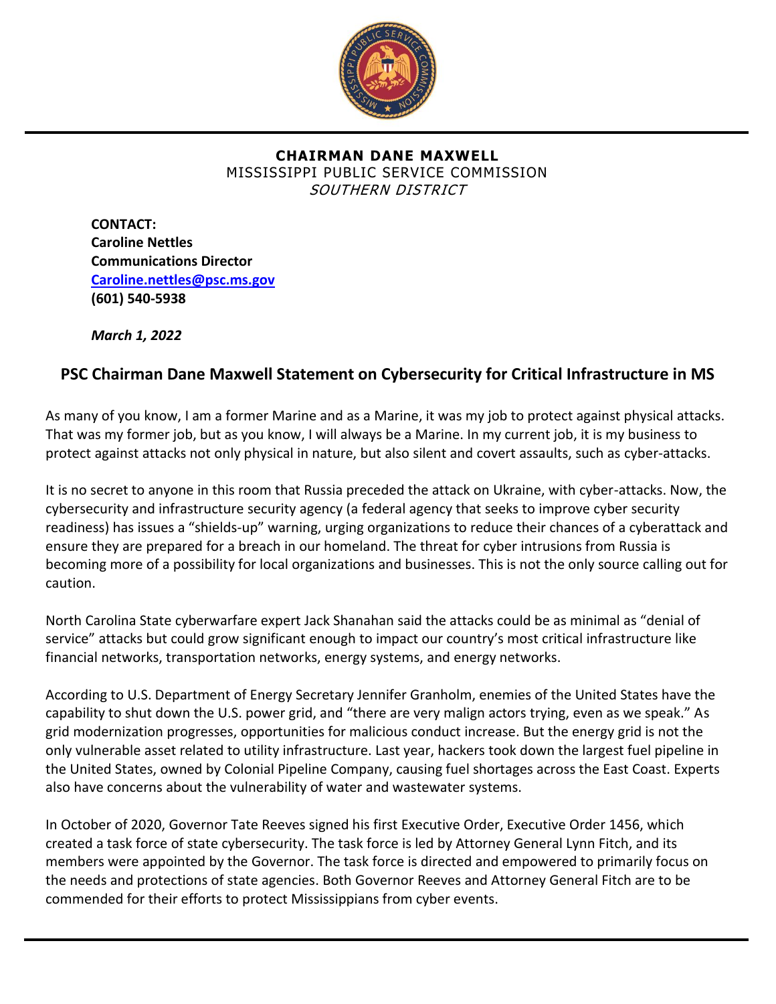

## **CHAIRMAN DANE MAXWELL** MISSISSIPPI PUBLIC SERVICE COMMISSION SOUTHERN DISTRICT

**CONTACT: Caroline Nettles Communications Director [Caroline.nettles@psc.ms.gov](mailto:Caroline.nettles@psc.ms.gov) (601) 540-5938** 

*March 1, 2022*

## **PSC Chairman Dane Maxwell Statement on Cybersecurity for Critical Infrastructure in MS**

As many of you know, I am a former Marine and as a Marine, it was my job to protect against physical attacks. That was my former job, but as you know, I will always be a Marine. In my current job, it is my business to protect against attacks not only physical in nature, but also silent and covert assaults, such as cyber-attacks.

It is no secret to anyone in this room that Russia preceded the attack on Ukraine, with cyber-attacks. Now, the cybersecurity and infrastructure security agency (a federal agency that seeks to improve cyber security readiness) has issues a "shields-up" warning, urging organizations to reduce their chances of a cyberattack and ensure they are prepared for a breach in our homeland. The threat for cyber intrusions from Russia is becoming more of a possibility for local organizations and businesses. This is not the only source calling out for caution.

North Carolina State cyberwarfare expert Jack Shanahan said the attacks could be as minimal as "denial of service" attacks but could grow significant enough to impact our country's most critical infrastructure like financial networks, transportation networks, energy systems, and energy networks.

According to U.S. Department of Energy Secretary Jennifer Granholm, enemies of the United States have the capability to shut down the U.S. power grid, and "there are very malign actors trying, even as we speak." As grid modernization progresses, opportunities for malicious conduct increase. But the energy grid is not the only vulnerable asset related to utility infrastructure. Last year, hackers took down the largest fuel pipeline in the United States, owned by Colonial Pipeline Company, causing fuel shortages across the East Coast. Experts also have concerns about the vulnerability of water and wastewater systems.

In October of 2020, Governor Tate Reeves signed his first Executive Order, Executive Order 1456, which created a task force of state cybersecurity. The task force is led by Attorney General Lynn Fitch, and its members were appointed by the Governor. The task force is directed and empowered to primarily focus on the needs and protections of state agencies. Both Governor Reeves and Attorney General Fitch are to be commended for their efforts to protect Mississippians from cyber events.